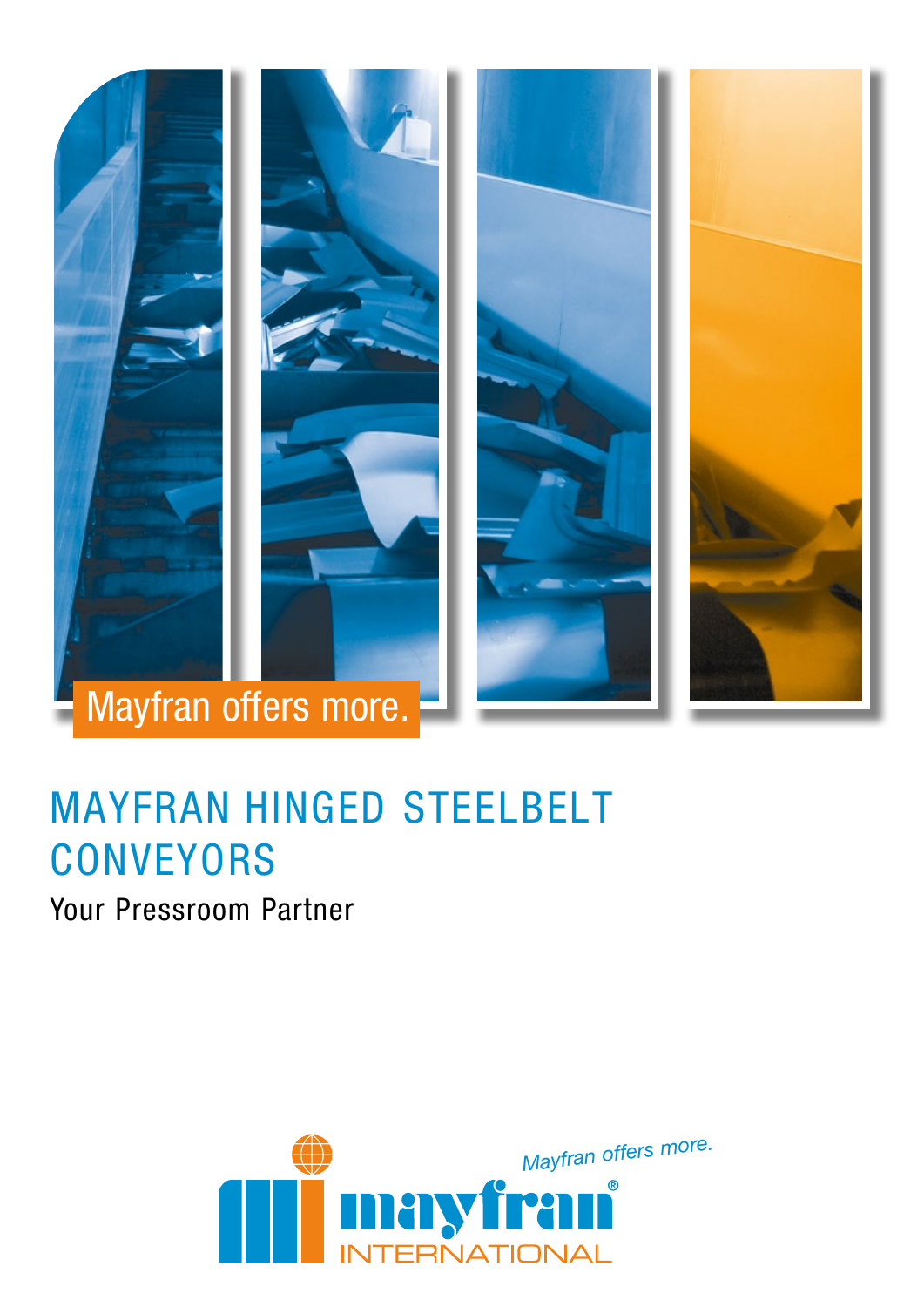

# MAYFRAN HINGED STEELBELT **CONVEYORS**

Your Pressroom Partner

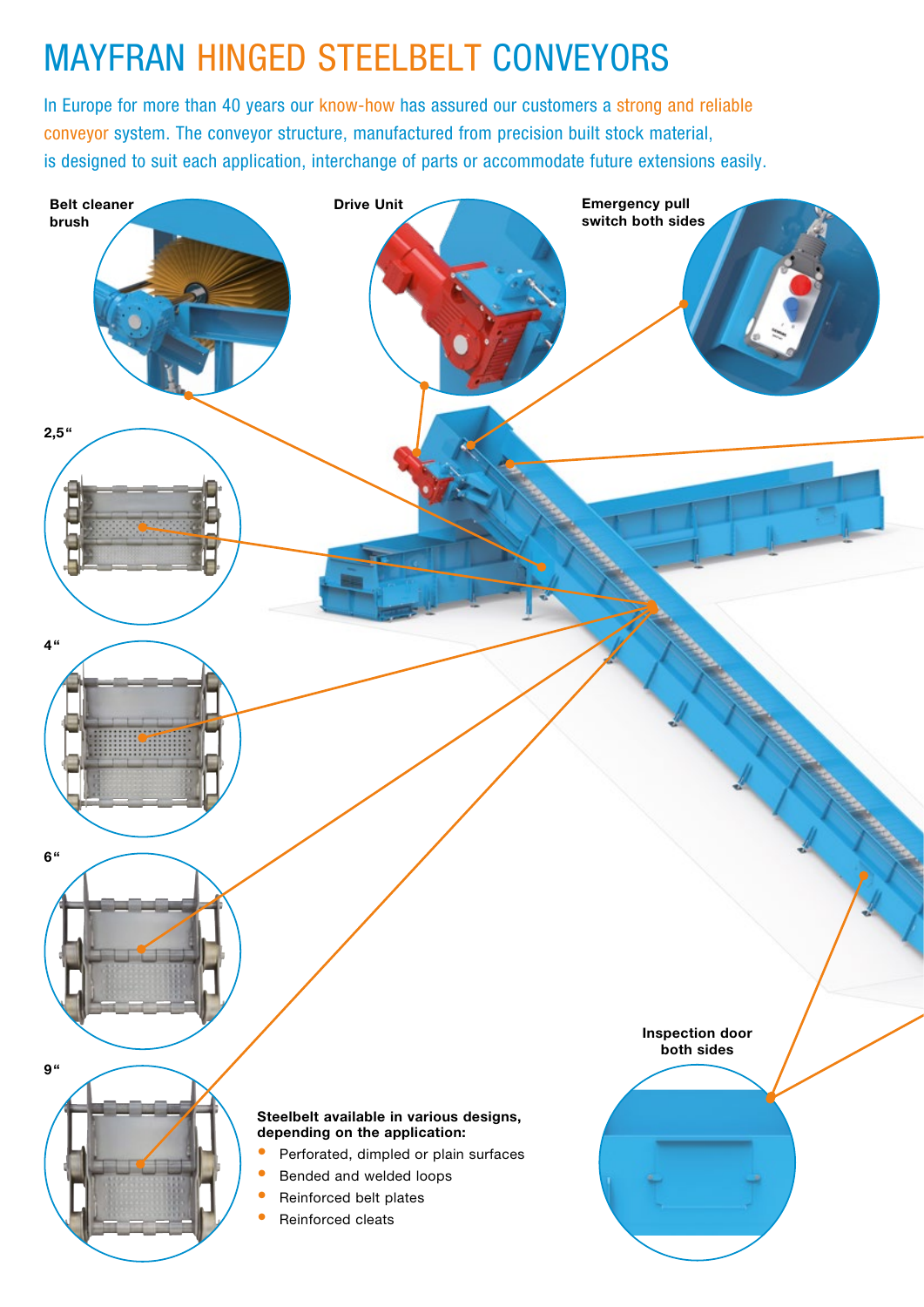## MAYFRAN HINGED STEELBELT CONVEYORS

In Europe for more than 40 years our know-how has assured our customers a strong and reliable conveyor system. The conveyor structure, manufactured from precision built stock material, is designed to suit each application, interchange of parts or accommodate future extensions easily.

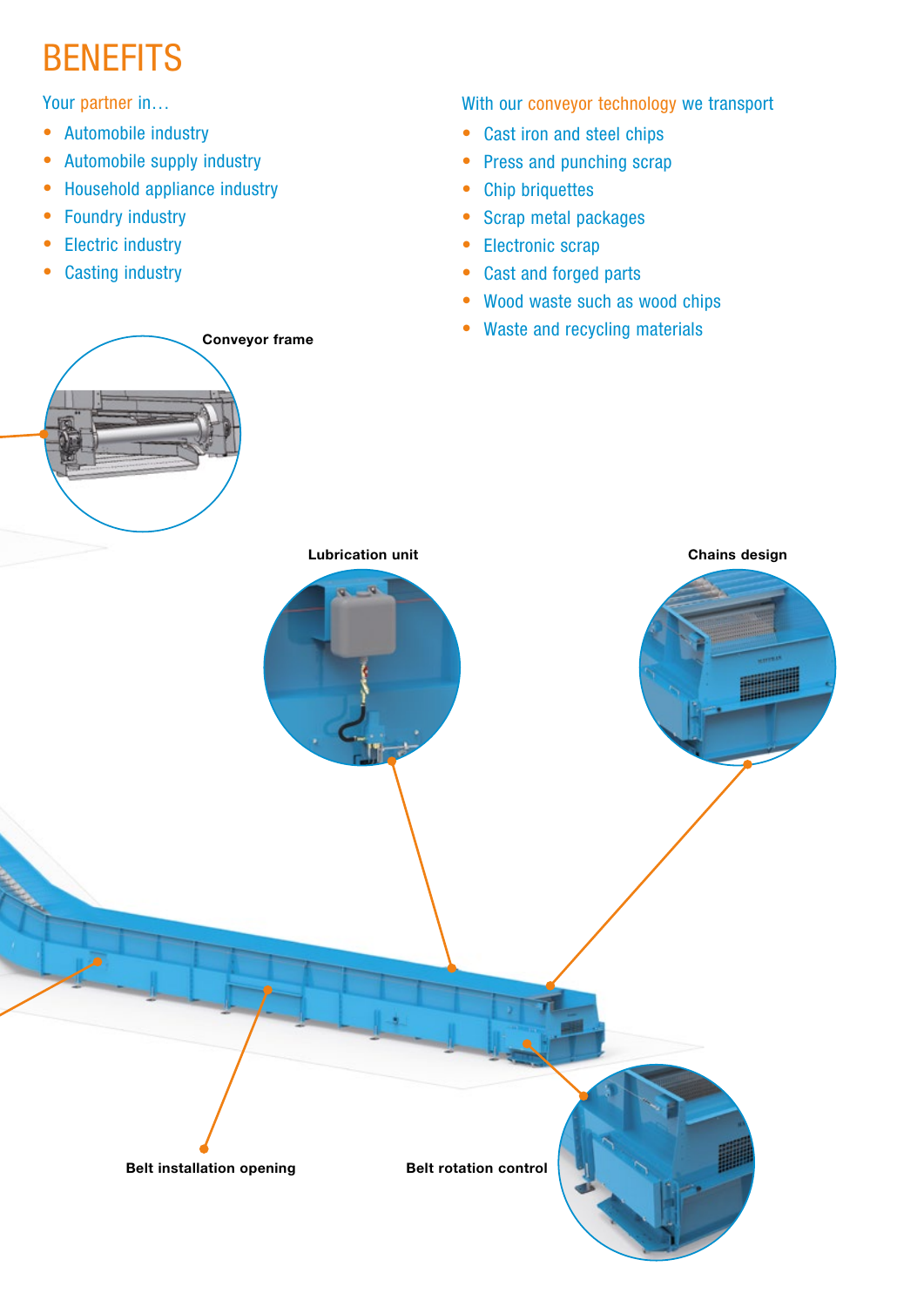## **BENEFITS**

Your partner in…

- Automobile industry
- Automobile supply industry
- Household appliance industry

Conveyor frame

- Foundry industry
- Electric industry
- Casting industry

With our conveyor technology we transport

- Cast iron and steel chips
- Press and punching scrap
- Chip briquettes
- Scrap metal packages
- Electronic scrap
- Cast and forged parts
- Wood waste such as wood chips
- Waste and recycling materials

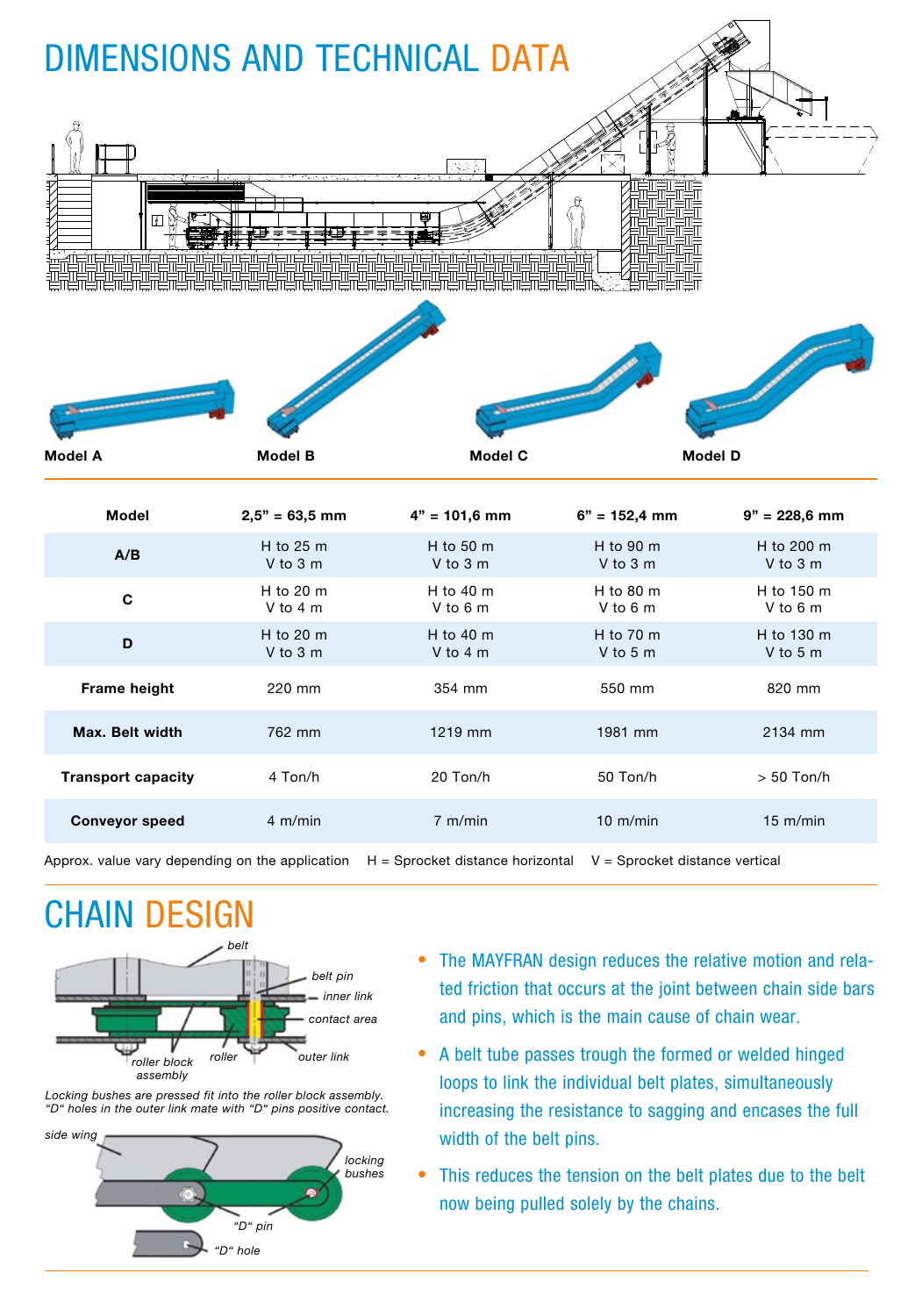| <b>DIMENSIONS AND TECHNICAL DATA</b><br>ÿ |                       |                       |                       |                        |
|-------------------------------------------|-----------------------|-----------------------|-----------------------|------------------------|
| <b>Model A</b>                            | <b>Model B</b>        | <b>Model C</b>        | <b>Model D</b>        |                        |
| <b>Model</b>                              | $2,5" = 63,5$ mm      | $4" = 101,6$ mm       | $6" = 152,4$ mm       | $9" = 228,6$ mm        |
| A/B                                       | H to 25 m<br>V to 3 m | H to 50 m<br>V to 3 m | H to 90 m<br>V to 3 m | H to 200 m<br>V to 3 m |
| C                                         | H to 20 m<br>V to 4 m | H to 40 m<br>V to 6 m | H to 80 m<br>V to 6 m | H to 150 m<br>V to 6 m |
| D                                         | H to 20 m<br>V to 3 m | H to 40 m<br>V to 4 m | H to 70 m<br>V to 5 m | H to 130 m<br>V to 5 m |
| <b>Frame height</b>                       | 220 mm                | 354 mm                | 550 mm                | 820 mm                 |
| Max. Belt width                           | 762 mm                | 1219 mm               | 1981 mm               | 2134 mm                |
| <b>Transport capacity</b>                 | 4 Ton/h               | 20 Ton/h              | 50 Ton/h              | $> 50$ Ton/h           |
| <b>Conveyor speed</b>                     | 4 m/min               | 7 m/min               | 10 m/min              | 15 m/min               |
|                                           |                       |                       |                       |                        |

Approx. value vary depending on the application  $H =$  Sprocket distance horizontal  $V =$  Sprocket distance vertical

### CHAIN DESIGN



Locking bushes are pressed fit into the roller block assembly. "D" holes in the outer link mate with "D" pins positive contact.





- The MAYFRAN design reduces the relative motion and related friction that occurs at the joint between chain side bars and pins, which is the main cause of chain wear.
- A belt tube passes trough the formed or welded hinged loops to link the individual belt plates, simultaneously increasing the resistance to sagging and encases the full width of the belt pins.
- This reduces the tension on the belt plates due to the belt now being pulled solely by the chains.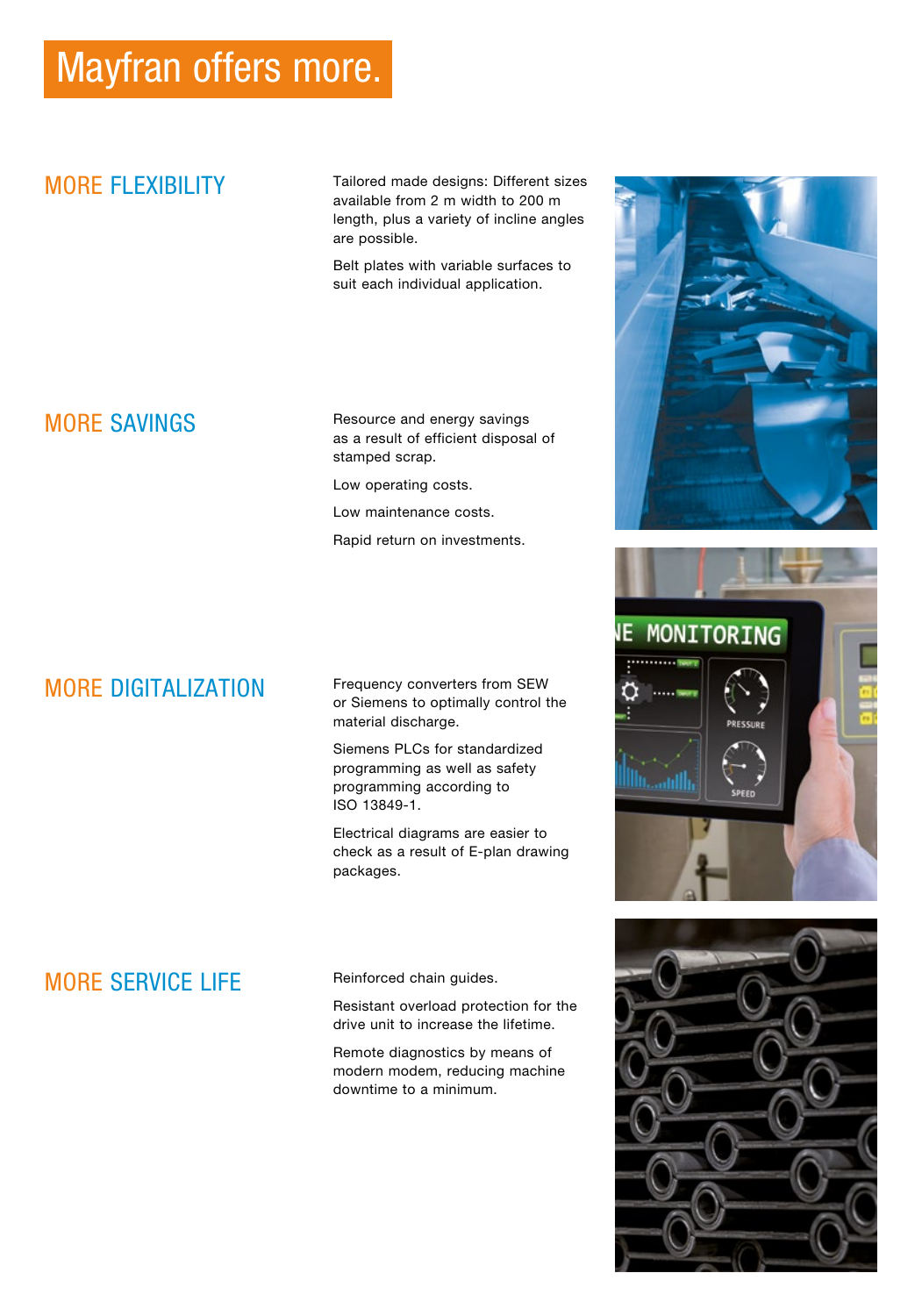## Mayfran offers more.

### MORE FLEXIBILITY

Tailored made designs: Different sizes available from 2 m width to 200 m length, plus a variety of incline angles are possible.

Belt plates with variable surfaces to suit each individual application.

### MORE SAVINGS

Resource and energy savings as a result of efficient disposal of stamped scrap.

Low operating costs.

Low maintenance costs.

Rapid return on investments.

### MORE DIGITALIZATION

Frequency converters from SEW or Siemens to optimally control the material discharge.

Siemens PLCs for standardized programming as well as safety programming according to ISO 13849-1.

Electrical diagrams are easier to check as a result of E-plan drawing packages.

### MORE SERVICE LIFE

Reinforced chain guides.

Resistant overload protection for the drive unit to increase the lifetime.

Remote diagnostics by means of modern modem, reducing machine downtime to a minimum.